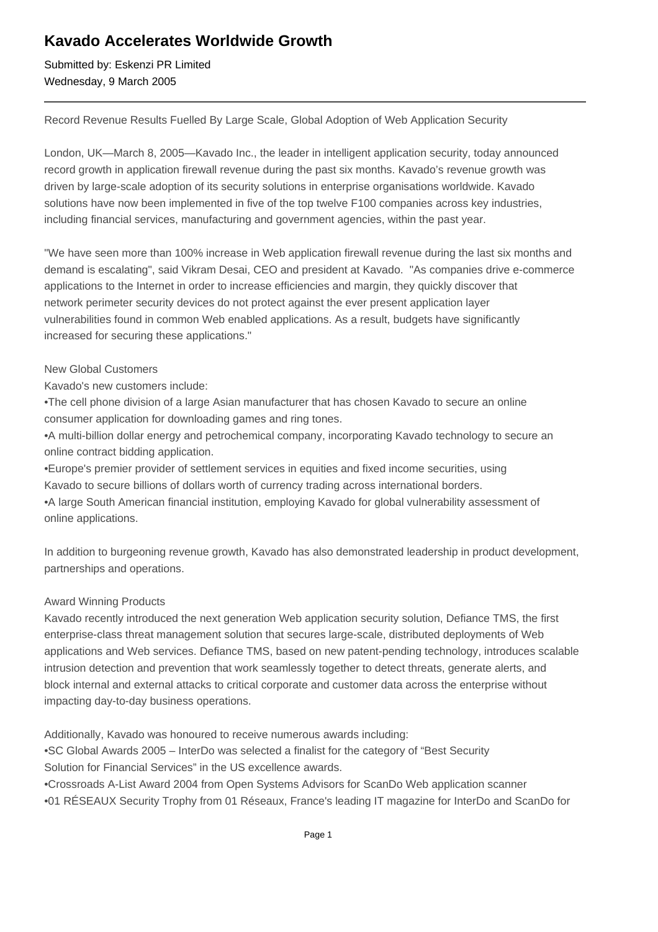# **Kavado Accelerates Worldwide Growth**

Submitted by: Eskenzi PR Limited Wednesday, 9 March 2005

Record Revenue Results Fuelled By Large Scale, Global Adoption of Web Application Security

London, UK—March 8, 2005—Kavado Inc., the leader in intelligent application security, today announced record growth in application firewall revenue during the past six months. Kavado's revenue growth was driven by large-scale adoption of its security solutions in enterprise organisations worldwide. Kavado solutions have now been implemented in five of the top twelve F100 companies across key industries, including financial services, manufacturing and government agencies, within the past year.

"We have seen more than 100% increase in Web application firewall revenue during the last six months and demand is escalating", said Vikram Desai, CEO and president at Kavado. "As companies drive e-commerce applications to the Internet in order to increase efficiencies and margin, they quickly discover that network perimeter security devices do not protect against the ever present application layer vulnerabilities found in common Web enabled applications. As a result, budgets have significantly increased for securing these applications."

### New Global Customers

Kavado's new customers include:

• The cell phone division of a large Asian manufacturer that has chosen Kavado to secure an online consumer application for downloading games and ring tones.

• A multi-billion dollar energy and petrochemical company, incorporating Kavado technology to secure an online contract bidding application.

• Europe's premier provider of settlement services in equities and fixed income securities, using Kavado to secure billions of dollars worth of currency trading across international borders.

• A large South American financial institution, employing Kavado for global vulnerability assessment of online applications.

In addition to burgeoning revenue growth, Kavado has also demonstrated leadership in product development, partnerships and operations.

## Award Winning Products

Kavado recently introduced the next generation Web application security solution, Defiance TMS, the first enterprise-class threat management solution that secures large-scale, distributed deployments of Web applications and Web services. Defiance TMS, based on new patent-pending technology, introduces scalable intrusion detection and prevention that work seamlessly together to detect threats, generate alerts, and block internal and external attacks to critical corporate and customer data across the enterprise without impacting day-to-day business operations.

Additionally, Kavado was honoured to receive numerous awards including:

• SC Global Awards 2005 – InterDo was selected a finalist for the category of "Best Security Solution for Financial Services" in the US excellence awards.

• Crossroads A-List Award 2004 from Open Systems Advisors for ScanDo Web application scanner

• 01 RÉSEAUX Security Trophy from 01 Réseaux, France's leading IT magazine for InterDo and ScanDo for